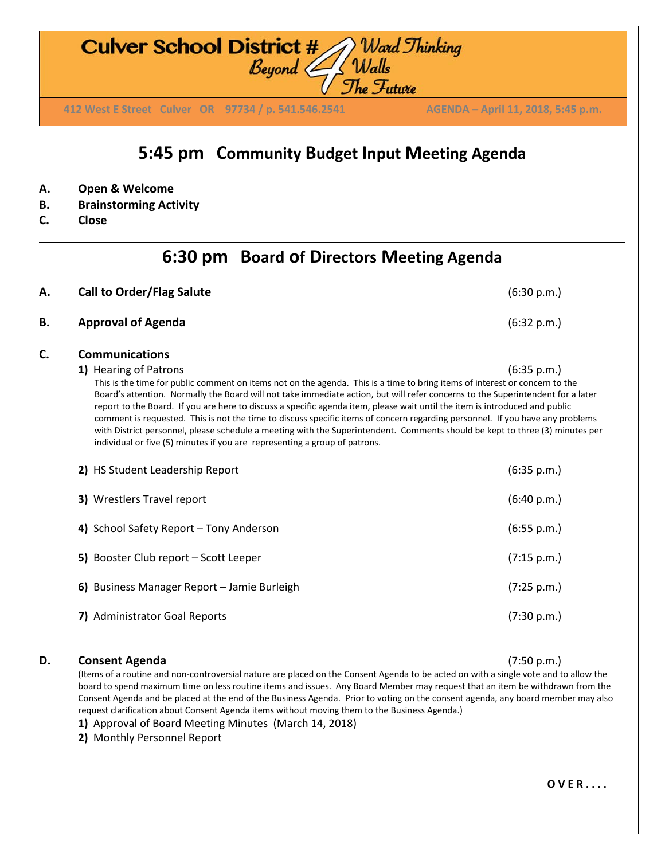**D. Consent Agenda** (7:50 p.m.)

**7)** Administrator Goal Reports (7:30 p.m.)

(Items of a routine and non-controversial nature are placed on the Consent Agenda to be acted on with a single vote and to allow the board to spend maximum time on less routine items and issues. Any Board Member may request that an item be withdrawn from the Consent Agenda and be placed at the end of the Business Agenda. Prior to voting on the consent agenda, any board member may also request clarification about Consent Agenda items without moving them to the Business Agenda.)

**1)** Approval of Board Meeting Minutes (March 14, 2018)

**2)** Monthly Personnel Report

**O V E R . . . .**

### **6:30 pm Board of Directors Meeting Agenda**

**5:45 pm Community Budget Input Meeting Agenda**

**A. Call to Order/Flag Salute** (6:30 p.m.) **B. Approval of Agenda** (6:32 p.m.) **C. Communications 1)** Hearing of Patrons (6:35 p.m.) This is the time for public comment on items not on the agenda. This is a time to bring items of interest or concern to the Board's attention. Normally the Board will not take immediate action, but will refer concerns to the Superintendent for a later report to the Board. If you are here to discuss a specific agenda item, please wait until the item is introduced and public comment is requested. This is not the time to discuss specific items of concern regarding personnel. If you have any problems with District personnel, please schedule a meeting with the Superintendent. Comments should be kept to three (3) minutes per individual or five (5) minutes if you are representing a group of patrons. **2)** HS Student Leadership Report (6:35 p.m.) **3)** Wrestlers Travel report (6:40 p.m.) **4)** School Safety Report – Tony Anderson (6:55 p.m.) **5)** Booster Club report – Scott Leeper (7:15 p.m.) **6)** Business Manager Report – Jamie Burleigh (7:25 p.m.)

- **A. Open & Welcome**
- **B. Brainstorming Activity**
- **C. Close**

## **Culver School District #** Ward Thinking<br>Beyond Walls<br>The Future

**412 West E Street Culver OR 97734 / p. 541.546.2541 AGENDA –April 11, 2018, 5:45 p.m. 412 West E Street Culver OR 97734 / p. 541.546.2541 AGENDA – April 11, 2018, 5:45 p.m.**